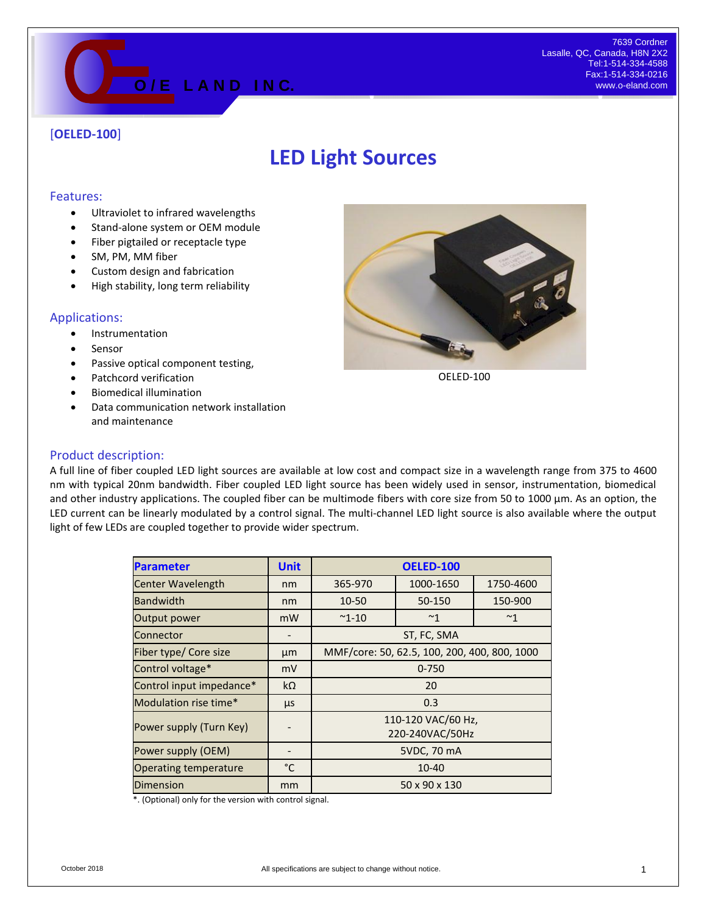

## [**OELED-100**]

# **LED Light Sources**

#### Features:

- Ultraviolet to infrared wavelengths
- Stand-alone system or OEM module
- Fiber pigtailed or receptacle type
- SM, PM, MM fiber
- Custom design and fabrication
- High stability, long term reliability

#### Applications:

- **•** Instrumentation
- Sensor
- Passive optical component testing,
- Patchcord verification
- Biomedical illumination
- Data communication network installation and maintenance



OELED-100

#### Product description:

A full line of fiber coupled LED light sources are available at low cost and compact size in a wavelength range from 375 to 4600 nm with typical 20nm bandwidth. Fiber coupled LED light source has been widely used in sensor, instrumentation, biomedical and other industry applications. The coupled fiber can be multimode fibers with core size from 50 to 1000  $\mu$ m. As an option, the LED current can be linearly modulated by a control signal. The multi-channel LED light source is also available where the output light of few LEDs are coupled together to provide wider spectrum.

| <b>Parameter</b>             | <b>Unit</b> | <b>OELED-100</b>                             |              |           |
|------------------------------|-------------|----------------------------------------------|--------------|-----------|
| <b>Center Wavelength</b>     | nm          | 365-970                                      | 1000-1650    | 1750-4600 |
| <b>Bandwidth</b>             | nm          | 10-50                                        | 50-150       | 150-900   |
| Output power                 | mW          | $^{\sim}$ 1-10                               | $~^{\sim}$ 1 | ~1        |
| Connector                    |             | ST, FC, SMA                                  |              |           |
| Fiber type/ Core size        | μm          | MMF/core: 50, 62.5, 100, 200, 400, 800, 1000 |              |           |
| Control voltage*             | mV          | $0 - 750$                                    |              |           |
| Control input impedance*     | $k\Omega$   | 20                                           |              |           |
| Modulation rise time*        | μs          | 0.3                                          |              |           |
| Power supply (Turn Key)      |             | 110-120 VAC/60 Hz,<br>220-240VAC/50Hz        |              |           |
| Power supply (OEM)           |             | 5VDC, 70 mA                                  |              |           |
| <b>Operating temperature</b> | °C          | 10-40                                        |              |           |
| <b>Dimension</b>             | mm          | 50 x 90 x 130                                |              |           |

\*. (Optional) only for the version with control signal.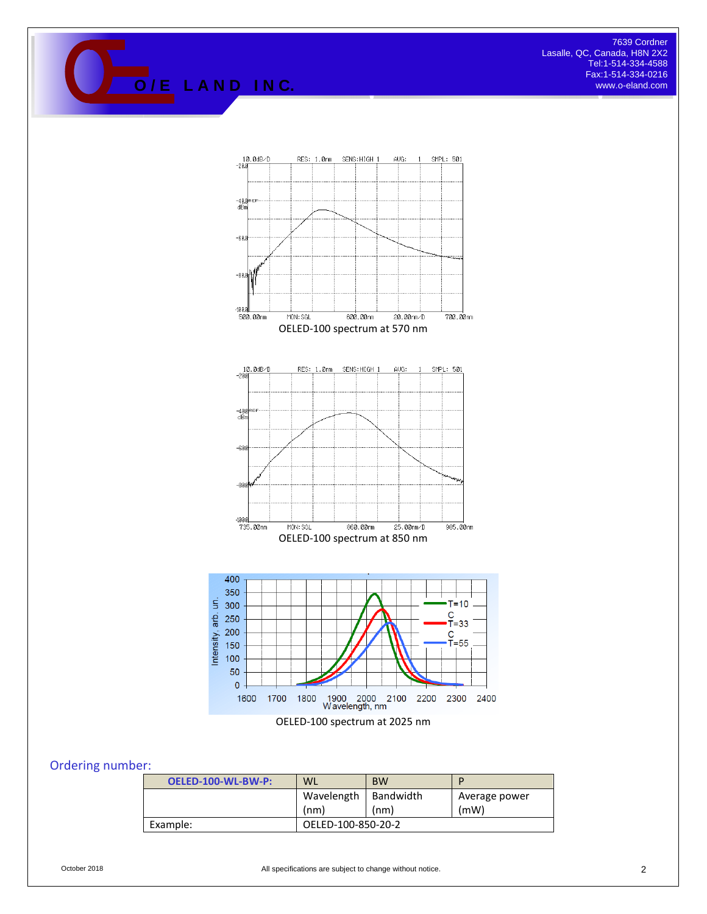Tessie, QC, Canada, H8N 2X2<br>
Tel:1-514-334-4588<br> **O** / E L A N D IN C.<br> *M C*.<br> *M C*.<br> *M C*. Tel:1-514-334-4588 Fax:1-514-334-0216 www.o-eland.com



### Ordering number:

| OELED-100-WL-BW-P: | <b>WL</b>          | <b>BW</b> | D             |  |
|--------------------|--------------------|-----------|---------------|--|
|                    | Wavelength         | Bandwidth | Average power |  |
|                    | (nm)               | (nm)      | (mW)          |  |
| Example:           | OELED-100-850-20-2 |           |               |  |

October 2018 **COLLET 2018** All specifications are subject to change without notice.